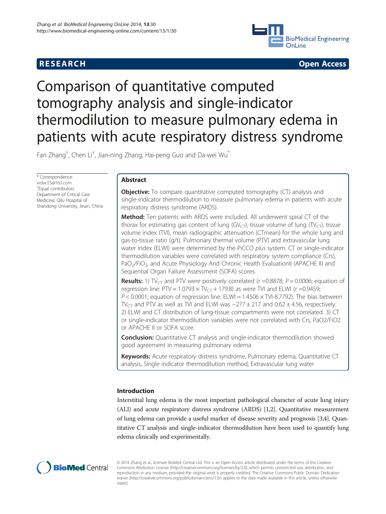

**RESEARCH RESEARCH CONSUMING ACCESS** 

# Comparison of quantitative computed tomography analysis and single-indicator thermodilution to measure pulmonary edema in patients with acute respiratory distress syndrome

Fan Zhang $^\dagger$ , Chen Li $^\dagger$ , Jian-ning Zhang, Hai-peng Guo and Da-wei Wu $^*$ 

\* Correspondence: [wdw.55@163.com](mailto:wdw.55@163.com) † Equal contributors Department of Critical Care Medicine, Qilu Hospital of Shandong University, Jinan, China

# Abstract

**Objective:** To compare quantitative computed tomography (CT) analysis and single-indicator thermodilution to measure pulmonary edema in patients with acute respiratory distress syndrome (ARDS).

Method: Ten patients with ARDS were included. All underwent spiral CT of the thorax for estimating gas content of lung (GV $_{\text{CT}}$ ), tissue volume of lung (TV $_{\text{CT}}$ ), tissue volume index (TVI), mean radiographic attenuation (CTmean) for the whole lung and gas-to-tissue ratio (g/t). Pulmonary thermal volume (PTV) and extravascular lung water index (ELWI) were determined by the PiCCO plus system. CT or single-indicator thermodilution variables were correlated with respiratory system compliance (Crs), PaO<sub>2</sub>/FiO<sub>2</sub>, and Acute Physiology And Chronic Health EvaluationII (APACHE II) and Sequential Organ Failure Assessment (SOFA) scores.

**Results:** 1)  $\text{TV}_{CT}$  and PTV were positively correlated (r =0.8878; P = 0.0006; equation of regression line: PTV = 1.0793  $\times$  TV<sub>CT</sub> + 179.8) as were TVI and ELWI ( $r$  =0.9459;  $P < 0.0001$ ; equation of regression line: ELWI = 1.4506  $\times$  TVI-8.7792). The bias between TV<sub>CT</sub> and PTV as well as TVI and ELWI was  $-277 \pm 217$  and 0.62  $\pm$  4.56, respectively. 2) ELWI and CT distribution of lung-tissue compartments were not correlated. 3) CT or single-indicator thermodilution variables were not correlated with Crs, PaO2/FiO2 or APACHE II or SOFA score.

**Conclusion:** Quantitative CT analysis and single-indicator thermodilution showed good agreement in measuring pulmonary edema.

Keywords: Acute respiratory distress syndrome, Pulmonary edema, Quantitative CT analysis, Single indicator thermodilution method, Extravascular lung water

# Introduction

Interstitial lung edema is the most important pathological character of acute lung injury (ALI) and acute respiratory distress syndrome (ARDS) [\[1,2](#page-11-0)]. Quantitative measurement of lung edema can provide a useful marker of disease severity and prognosis [[3,4\]](#page-11-0). Quantitative CT analysis and single-indicator thermodilution have been used to quantify lung edema clinically and experimentally.



© 2014 Zhang et al.; licensee BioMed Central Ltd. This is an Open Access article distributed under the terms of the Creative Commons Attribution License [\(http://creativecommons.org/licenses/by/2.0\)](http://creativecommons.org/licenses/by/2.0), which permits unrestricted use, distribution, and reproduction in any medium, provided the original work is properly credited. The Creative Commons Public Domain Dedication waiver [\(http://creativecommons.org/publicdomain/zero/1.0/\)](http://creativecommons.org/publicdomain/zero/1.0/) applies to the data made available in this article, unless otherwise stated.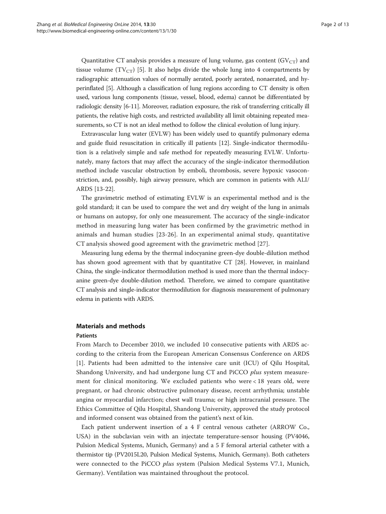Quantitative CT analysis provides a measure of lung volume, gas content  $(GV_{CT})$  and tissue volume (TV<sub>CT</sub>) [[5\]](#page-11-0). It also helps divide the whole lung into 4 compartments by radiographic attenuation values of normally aerated, poorly aerated, nonaerated, and hyperinflated [[5](#page-11-0)]. Although a classification of lung regions according to CT density is often used, various lung components (tissue, vessel, blood, edema) cannot be differentiated by radiologic density [[6](#page-11-0)-[11\]](#page-11-0). Moreover, radiation exposure, the risk of transferring critically ill patients, the relative high costs, and restricted availability all limit obtaining repeated measurements, so CT is not an ideal method to follow the clinical evolution of lung injury.

Extravascular lung water (EVLW) has been widely used to quantify pulmonary edema and guide fluid resuscitation in critically ill patients [\[12\]](#page-11-0). Single-indicator thermodilution is a relatively simple and safe method for repeatedly measuring EVLW. Unfortunately, many factors that may affect the accuracy of the single-indicator thermodilution method include vascular obstruction by emboli, thrombosis, severe hypoxic vasoconstriction, and, possibly, high airway pressure, which are common in patients with ALI/ ARDS [[13-22](#page-11-0)].

The gravimetric method of estimating EVLW is an experimental method and is the gold standard; it can be used to compare the wet and dry weight of the lung in animals or humans on autopsy, for only one measurement. The accuracy of the single-indicator method in measuring lung water has been confirmed by the gravimetric method in animals and human studies [[23-26\]](#page-11-0). In an experimental animal study, quantitative CT analysis showed good agreement with the gravimetric method [\[27\]](#page-11-0).

Measuring lung edema by the thermal indocyanine green-dye double-dilution method has shown good agreement with that by quantitative CT [[28\]](#page-12-0). However, in mainland China, the single-indicator thermodilution method is used more than the thermal indocyanine green-dye double-dilution method. Therefore, we aimed to compare quantitative CT analysis and single-indicator thermodilution for diagnosis measurement of pulmonary edema in patients with ARDS.

#### Materials and methods

#### Patients

From March to December 2010, we included 10 consecutive patients with ARDS according to the criteria from the European American Consensus Conference on ARDS [[1\]](#page-11-0). Patients had been admitted to the intensive care unit (ICU) of Qilu Hospital, Shandong University, and had undergone lung CT and PiCCO plus system measurement for clinical monitoring. We excluded patients who were < 18 years old, were pregnant, or had chronic obstructive pulmonary disease, recent arrhythmia; unstable angina or myocardial infarction; chest wall trauma; or high intracranial pressure. The Ethics Committee of Qilu Hospital, Shandong University, approved the study protocol and informed consent was obtained from the patient's next of kin.

Each patient underwent insertion of a 4 F central venous catheter (ARROW Co., USA) in the subclavian vein with an injectate temperature-sensor housing (PV4046, Pulsion Medical Systems, Munich, Germany) and a 5 F femoral arterial catheter with a thermistor tip (PV2015L20, Pulsion Medical Systems, Munich, Germany). Both catheters were connected to the PiCCO *plus* system (Pulsion Medical Systems V7.1, Munich, Germany). Ventilation was maintained throughout the protocol.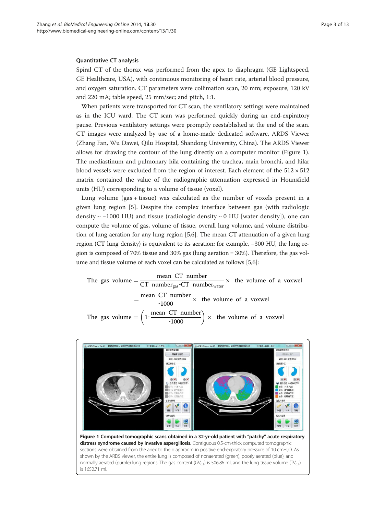# Quantitative CT analysis

Spiral CT of the thorax was performed from the apex to diaphragm (GE Lightspeed, GE Healthcare, USA), with continuous monitoring of heart rate, arterial blood pressure, and oxygen saturation. CT parameters were collimation scan, 20 mm; exposure, 120 kV and 220 mA; table speed, 25 mm/sec; and pitch, 1:1.

When patients were transported for CT scan, the ventilatory settings were maintained as in the ICU ward. The CT scan was performed quickly during an end-expiratory pause. Previous ventilatory settings were promptly reestablished at the end of the scan. CT images were analyzed by use of a home-made dedicated software, ARDS Viewer (Zhang Fan, Wu Dawei, Qilu Hospital, Shandong University, China). The ARDS Viewer allows for drawing the contour of the lung directly on a computer monitor (Figure 1). The mediastinum and pulmonary hila containing the trachea, main bronchi, and hilar blood vessels were excluded from the region of interest. Each element of the  $512 \times 512$ matrix contained the value of the radiographic attenuation expressed in Hounsfield units (HU) corresponding to a volume of tissue (voxel).

Lung volume (gas + tissue) was calculated as the number of voxels present in a given lung region [[5](#page-11-0)]. Despite the complex interface between gas (with radiologic density  $\sim$  -1000 HU) and tissue (radiologic density  $\sim$  0 HU [water density]), one can compute the volume of gas, volume of tissue, overall lung volume, and volume distribution of lung aeration for any lung region [\[5,6](#page-11-0)]. The mean CT attenuation of a given lung region (CT lung density) is equivalent to its aeration: for example, −300 HU, the lung region is composed of 70% tissue and 30% gas (lung aeration = 30%). Therefore, the gas volume and tissue volume of each voxel can be calculated as follows [[5,6](#page-11-0)]:

The gas volume  $=$   $\frac{\text{mean CT number}}{\text{CT number}_{\text{gas}} - \text{CT number}_{\text{water}}} \times$  the volume of a voxwel  $=\frac{\text{mean } CT \text{ number}}{-1000} \times \text{ the volume of a voxel}$ The gas volume  $= \left(1 - \frac{\text{mean } CT \text{ number}}{-1000}\right) \times$  the volume of a voxwel

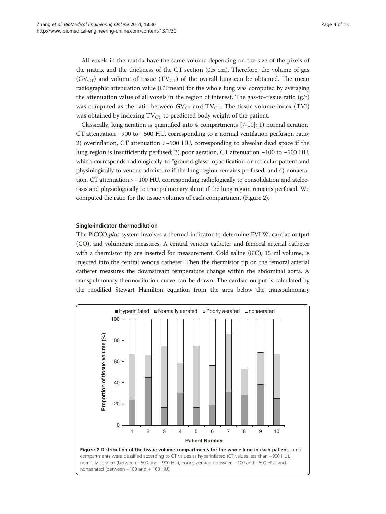<span id="page-3-0"></span>All voxels in the matrix have the same volume depending on the size of the pixels of the matrix and the thickness of the CT section (0.5 cm). Therefore, the volume of gas (GV<sub>CT</sub>) and volume of tissue (TV<sub>CT</sub>) of the overall lung can be obtained. The mean radiographic attenuation value (CTmean) for the whole lung was computed by averaging the attenuation value of all voxels in the region of interest. The gas-to-tissue ratio  $(g/t)$ was computed as the ratio between  $\text{GV}_{\text{CT}}$  and  $\text{TV}_{\text{CT}}$ . The tissue volume index (TVI) was obtained by indexing  $TV_{CT}$  to predicted body weight of the patient.

Classically, lung aeration is quantified into 4 compartments  $[7-10]$  $[7-10]$  $[7-10]$  $[7-10]$ : 1) normal aeration, CT attenuation −900 to −500 HU, corresponding to a normal ventilation perfusion ratio; 2) overinflation, CT attenuation < −900 HU, corresponding to alveolar dead space if the lung region is insufficiently perfused; 3) poor aeration, CT attenuation −100 to −500 HU, which corresponds radiologically to "ground-glass" opacification or reticular pattern and physiologically to venous admixture if the lung region remains perfused; and 4) nonaeration, CT attenuation > −100 HU, corresponding radiologically to consolidation and atelectasis and physiologically to true pulmonary shunt if the lung region remains perfused. We computed the ratio for the tissue volumes of each compartment (Figure 2).

# Single-indicator thermodilution

The PiCCO plus system involves a thermal indicator to determine EVLW, cardiac output (CO), and volumetric measures. A central venous catheter and femoral arterial catheter with a thermistor tip are inserted for measurement. Cold saline (8°C), 15 ml volume, is injected into the central venous catheter. Then the thermistor tip on the femoral arterial catheter measures the downstream temperature change within the abdominal aorta. A transpulmonary thermodilution curve can be drawn. The cardiac output is calculated by the modified Stewart Hamilton equation from the area below the transpulmonary

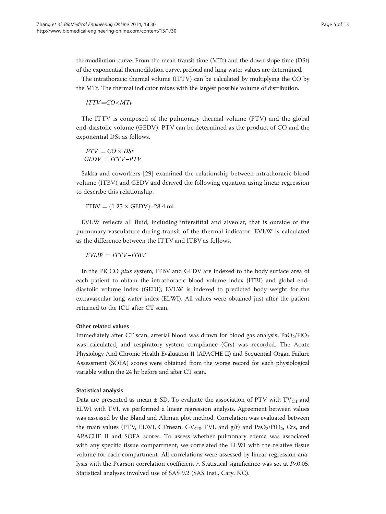thermodilution curve. From the mean transit time (MTt) and the down slope time (DSt) of the exponential thermodilution curve, preload and lung water values are determined.

The intrathoracic thermal volume (ITTV) can be calculated by multiplying the CO by the MTt. The thermal indicator mixes with the largest possible volume of distribution.

 $ITTV = CO \times MTt$ 

The ITTV is composed of the pulmonary thermal volume (PTV) and the global end-diastolic volume (GEDV). PTV can be determined as the product of CO and the exponential DSt as follows.

 $PTV = CO \times DSt$  $GEDV = ITTV - PTV$ 

Sakka and coworkers [[29\]](#page-12-0) examined the relationship between intrathoracic blood volume (ITBV) and GEDV and derived the following equation using linear regression to describe this relationship.

$$
ITBV = (1.25 \times GEDV) - 28.4 \text{ ml}.
$$

EVLW reflects all fluid, including interstitial and alveolar, that is outside of the pulmonary vasculature during transit of the thermal indicator. EVLW is calculated as the difference between the ITTV and ITBV as follows.

 $EVLW = ITTV - ITBV$ 

In the PiCCO plus system, ITBV and GEDV are indexed to the body surface area of each patient to obtain the intrathoracic blood volume index (ITBI) and global enddiastolic volume index (GEDI); EVLW is indexed to predicted body weight for the extravascular lung water index (ELWI). All values were obtained just after the patient returned to the ICU after CT scan.

# Other related values

Immediately after CT scan, arterial blood was drawn for blood gas analysis,  $PaO<sub>2</sub>/FiO<sub>2</sub>$ was calculated; and respiratory system compliance (Crs) was recorded. The Acute Physiology And Chronic Health Evaluation II (APACHE II) and Sequential Organ Failure Assessment (SOFA) scores were obtained from the worse record for each physiological variable within the 24 hr before and after CT scan.

#### Statistical analysis

Data are presented as mean  $\pm$  SD. To evaluate the association of PTV with TV $_{CT}$  and ELWI with TVI, we performed a linear regression analysis. Agreement between values was assessed by the Bland and Altman plot method. Correlation was evaluated between the main values (PTV, ELWI, CTmean,  $GV<sub>CT</sub>$  TVI, and  $g/t$ ) and PaO<sub>2</sub>/FiO<sub>2</sub>, Crs, and APACHE II and SOFA scores. To assess whether pulmonary edema was associated with any specific tissue compartment, we correlated the ELWI with the relative tissue volume for each compartment. All correlations were assessed by linear regression analysis with the Pearson correlation coefficient r. Statistical significance was set at  $P<0.05$ . Statistical analyses involved use of SAS 9.2 (SAS Inst., Cary, NC).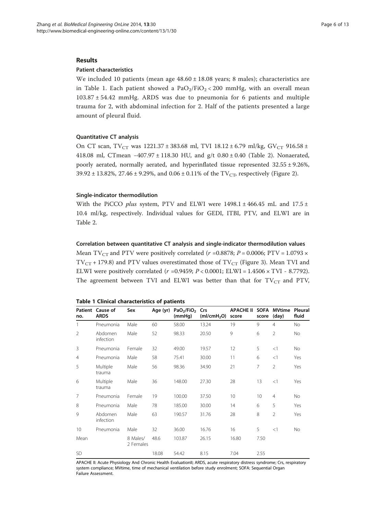### Results

#### Patient characteristics

We included 10 patients (mean age  $48.60 \pm 18.08$  years; 8 males); characteristics are in Table 1. Each patient showed a  $PaO<sub>2</sub>/FiO<sub>2</sub> < 200$  mmHg, with an overall mean 103.87 ± 54.42 mmHg. ARDS was due to pneumonia for 6 patients and multiple trauma for 2, with abdominal infection for 2. Half of the patients presented a large amount of pleural fluid.

# Quantitative CT analysis

On CT scan,  $TV_{CT}$  was  $1221.37 \pm 383.68$  ml, TVI  $18.12 \pm 6.79$  ml/kg,  $GV_{CT}$  916.58  $\pm$ 418.08 ml, CTmean −407.97 ± 118.30 HU, and g/t 0.80 ± 0.40 (Table [2](#page-6-0)). Nonaerated, poorly aerated, normally aerated, and hyperinflated tissue represented 32.55 ± 9.26%, 39.92 ± 13.82%, 27.46 ± 9.29%, and  $0.06 \pm 0.11\%$  of the TV<sub>CT</sub>, respectively (Figure [2\)](#page-3-0).

#### Single-indicator thermodilution

With the PiCCO plus system, PTV and ELWI were  $1498.1 \pm 466.45$  mL and  $17.5 \pm$ 10.4 ml/kg, respectively. Individual values for GEDI, ITBI, PTV, and ELWI are in Table [2.](#page-6-0)

#### Correlation between quantitative CT analysis and single-indicator thermodilution values

Mean TV<sub>CT</sub> and PTV were positively correlated ( $r = 0.8878$ ;  $P = 0.0006$ ; PTV = 1.0793  $\times$  $TV_{CT}$  + 179.8) and PTV values overestimated those of  $TV_{CT}$  (Figure [3\)](#page-7-0). Mean TVI and ELWI were positively correlated  $(r = 0.9459; P < 0.0001; ELWI = 1.4506 \times TVI - 8.7792)$ . The agreement between TVI and ELWI was better than that for  $TV_{CT}$  and PTV,

| Patient<br>no. | Cause of<br><b>ARDS</b> | Sex                   | Age (yr) | PaO <sub>2</sub> /FiO <sub>2</sub><br>(mmHq) | <b>Crs</b><br>(mI/cmH <sub>2</sub> O) | <b>APACHE II</b><br>score | <b>SOFA</b><br>score | <b>MVtime</b><br>(day) | Pleural<br>fluid |
|----------------|-------------------------|-----------------------|----------|----------------------------------------------|---------------------------------------|---------------------------|----------------------|------------------------|------------------|
| 1.             | Pneumonia               | Male                  | 60       | 58.00                                        | 13.24                                 | 19                        | 9                    | $\overline{4}$         | No               |
| $\overline{2}$ | Abdomen<br>infection    | Male                  | 52       | 98.33                                        | 20.50                                 | 9                         | 6                    | $\overline{2}$         | No               |
| 3              | Pneumonia               | Female                | 32       | 49.00                                        | 19.57                                 | 12                        | 5                    | <1                     | No               |
| $\overline{4}$ | Pneumonia               | Male                  | 58       | 75.41                                        | 30.00                                 | 11                        | 6                    | <1                     | Yes              |
| 5              | Multiple<br>trauma      | Male                  | 56       | 98.36                                        | 34.90                                 | 21                        | 7                    | $\overline{2}$         | Yes              |
| 6              | Multiple<br>trauma      | Male                  | 36       | 148.00                                       | 27.30                                 | 28                        | 13                   | <1                     | Yes              |
| $\overline{7}$ | Pneumonia               | Female                | 19       | 100.00                                       | 37.50                                 | 10                        | 10                   | $\overline{4}$         | No               |
| 8              | Pneumonia               | Male                  | 78       | 185.00                                       | 30.00                                 | 14                        | 6                    | 5                      | Yes              |
| 9              | Abdomen<br>infection    | Male                  | 63       | 190.57                                       | 31.76                                 | 28                        | 8                    | $\overline{2}$         | Yes              |
| 10             | Pneumonia               | Male                  | 32       | 36.00                                        | 16.76                                 | 16                        | 5                    | <1                     | No               |
| Mean           |                         | 8 Males/<br>2 Females | 48.6     | 103.87                                       | 26.15                                 | 16.80                     | 7.50                 |                        |                  |
| <b>SD</b>      |                         |                       | 18.08    | 54.42                                        | 8.15                                  | 7.04                      | 2.55                 |                        |                  |

APACHE II: Acute Physiology And Chronic Health EvaluationII; ARDS, acute respiratory distress syndrome; Crs, respiratory system compliance; MVtime, time of mechanical ventilation before study enrolment; SOFA: Sequential Organ Failure Assessment.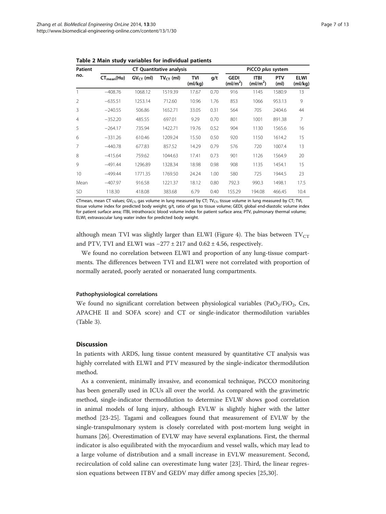<span id="page-6-0"></span>Table 2 Main study variables for individual patients

| <b>Patient</b><br>no. |                 | PiCCO plus system |                |                       |      |                                     |                                     |                                 |                        |
|-----------------------|-----------------|-------------------|----------------|-----------------------|------|-------------------------------------|-------------------------------------|---------------------------------|------------------------|
|                       | $CT_{mean}(Hu)$ | $GVCT$ (ml)       | $TV_{CT}$ (ml) | <b>TVI</b><br>(mI/kg) | g/t  | <b>GEDI</b><br>(ml/m <sup>2</sup> ) | <b>ITBI</b><br>(ml/m <sup>2</sup> ) | <b>PTV</b><br>(m <sub>l</sub> ) | <b>ELWI</b><br>(ml/kg) |
|                       | $-408.76$       | 1068.12           | 1519.39        | 17.67                 | 0.70 | 916                                 | 1145                                | 1580.9                          | 13                     |
| $\overline{2}$        | $-635.51$       | 1253.14           | 712.60         | 10.96                 | 1.76 | 853                                 | 1066                                | 953.13                          | 9                      |
| 3                     | $-240.55$       | 506.86            | 1652.71        | 33.05                 | 0.31 | 564                                 | 705                                 | 2404.6                          | 44                     |
| $\overline{4}$        | $-352.20$       | 485.55            | 697.01         | 9.29                  | 0.70 | 801                                 | 1001                                | 891.38                          | $\overline{7}$         |
| 5                     | $-264.17$       | 735.94            | 1422.71        | 19.76                 | 0.52 | 904                                 | 1130                                | 1565.6                          | 16                     |
| 6                     | $-331.26$       | 610.46            | 1209.24        | 15.50                 | 0.50 | 920                                 | 1150                                | 1614.2                          | 15                     |
| 7                     | $-440.78$       | 677.83            | 857.52         | 14.29                 | 0.79 | 576                                 | 720                                 | 1007.4                          | 13                     |
| 8                     | $-415.64$       | 759.62            | 1044.63        | 17.41                 | 0.73 | 901                                 | 1126                                | 1564.9                          | 20                     |
| 9                     | $-491.44$       | 1296.89           | 1328.34        | 18.98                 | 0.98 | 908                                 | 1135                                | 1454.1                          | 15                     |
| 10                    | $-499.44$       | 1771.35           | 1769.50        | 24.24                 | 1.00 | 580                                 | 725                                 | 1944.5                          | 23                     |
| Mean                  | $-407.97$       | 916.58            | 1221.37        | 18.12                 | 0.80 | 792.3                               | 990.3                               | 1498.1                          | 17.5                   |
| <b>SD</b>             | 118.30          | 418.08            | 383.68         | 6.79                  | 0.40 | 155.29                              | 194.08                              | 466.45                          | 10.4                   |

CTmean, mean CT values; GV<sub>CT</sub>, gas volume in lung measured by CT; TV<sub>CT</sub>, tissue volume in lung measured by CT; TVI, tissue volume index for predicted body weight; g/t, ratio of gas to tissue volume; GEDI, global end-diastolic volume index for patient surface area; ITBI, intrathoracic blood volume index for patient surface area; PTV, pulmonary thermal volume; ELWI, extravascular lung water index for predicted body weight.

although mean TVI was slightly larger than ELWI (Figure [4\)](#page-8-0). The bias between  $\text{TV}_{\text{CT}}$ and PTV, TVI and ELWI was  $-277 \pm 217$  and  $0.62 \pm 4.56$ , respectively.

We found no correlation between ELWI and proportion of any lung-tissue compartments. The differences between TVI and ELWI were not correlated with proportion of normally aerated, poorly aerated or nonaerated lung compartments.

#### Pathophysiological correlations

We found no significant correlation between physiological variables  $(PaO<sub>2</sub>/FiO<sub>2</sub>)$ , Crs, APACHE II and SOFA score) and CT or single-indicator thermodilution variables (Table [3\)](#page-8-0).

# Discussion

In patients with ARDS, lung tissue content measured by quantitative CT analysis was highly correlated with ELWI and PTV measured by the single-indicator thermodilution method.

As a convenient, minimally invasive, and economical technique, PiCCO monitoring has been generally used in ICUs all over the world. As compared with the gravimetric method, single-indicator thermodilution to determine EVLW shows good correlation in animal models of lung injury, although EVLW is slightly higher with the latter method [\[23](#page-11-0)-[25\]](#page-11-0). Tagami and colleagues found that measurement of EVLW by the single-transpulmonary system is closely correlated with post-mortem lung weight in humans [[26](#page-11-0)]. Overestimation of EVLW may have several explanations. First, the thermal indicator is also equilibrated with the myocardium and vessel walls, which may lead to a large volume of distribution and a small increase in EVLW measurement. Second, recirculation of cold saline can overestimate lung water [[23\]](#page-11-0). Third, the linear regression equations between ITBV and GEDV may differ among species [[25](#page-11-0)[,30](#page-12-0)].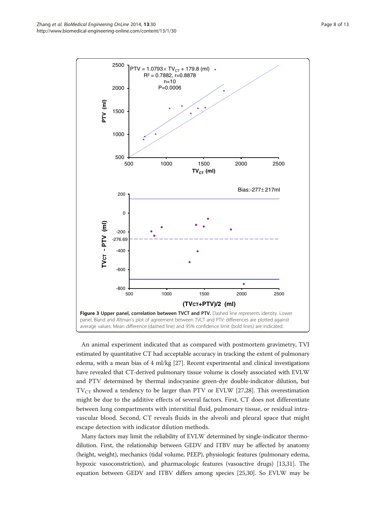<span id="page-7-0"></span>

An animal experiment indicated that as compared with postmortem gravimetry, TVI estimated by quantitative CT had acceptable accuracy in tracking the extent of pulmonary edema, with a mean bias of 4 ml/kg [\[27](#page-11-0)]. Recent experimental and clinical investigations have revealed that CT-derived pulmonary tissue volume is closely associated with EVLW and PTV determined by thermal indocyanine green-dye double-indicator dilution, but  $TV_{CT}$  showed a tendency to be larger than PTV or EVLW [\[27,](#page-11-0)[28](#page-12-0)]. This overestimation might be due to the additive effects of several factors. First, CT does not differentiate between lung compartments with interstitial fluid, pulmonary tissue, or residual intravascular blood. Second, CT reveals fluids in the alveoli and pleural space that might escape detection with indicator dilution methods.

Many factors may limit the reliability of EVLW determined by single-indicator thermodilution. First, the relationship between GEDV and ITBV may be affected by anatomy (height, weight), mechanics (tidal volume, PEEP), physiologic features (pulmonary edema, hypoxic vasoconstriction), and pharmacologic features (vasoactive drugs) [\[13](#page-11-0)[,31\]](#page-12-0). The equation between GEDV and ITBV differs among species [[25](#page-11-0),[30](#page-12-0)]. So EVLW may be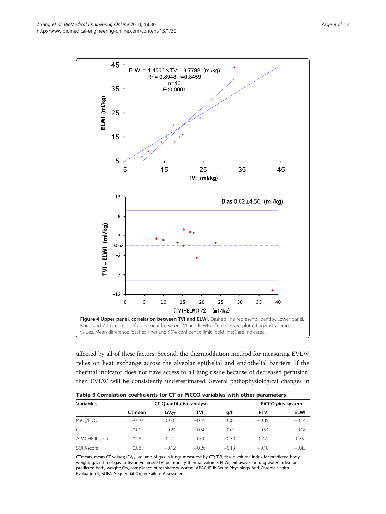<span id="page-8-0"></span>

affected by all of these factors. Second, the thermodilution method for measuring EVLW relies on heat exchange across the alveolar epithelial and endothelial barriers. If the thermal indicator does not have access to all lung tissue because of decreased perfusion, then EVLW will be consistently underestimated. Several pathophysiological changes in

| <b>Variables</b>                   |               | <b>CT Quantitative analysis</b> | PiCCO plus system |         |            |             |
|------------------------------------|---------------|---------------------------------|-------------------|---------|------------|-------------|
|                                    | <b>CTmean</b> | $GV_{CT}$                       | TVI               | g/t     | <b>PTV</b> | <b>ELWI</b> |
| PaO <sub>2</sub> /FiO <sub>2</sub> | $-0.10$       | 0.03                            | $-0.45$           | 0.08    | $-0.39$    | $-0.14$     |
| Crs                                | 0.01          | $-0.24$                         | $-0.50$           | $-0.01$ | $-0.54$    | $-0.18$     |
| APACHE II score                    | 0.28          | 0.21                            | 0.50              | $-0.30$ | 0.47       | 0.35        |
| SOFAscore                          | 0.08          | $-0.12$                         | $-0.26$           | $-0.13$ | $-0.18$    | $-0.43$     |

Table 3 Correlation coefficients for CT or PiCCO variables with other parameters

CTmean, mean CT values; GV<sub>CT</sub>, volume of gas in lungs measured by CT; TVI, tissue volume index for predicted body weight; g/t, ratio of gas to tissue volume; PTV, pulmonary thermal volume; ELWI, extravascular lung water index for predicted body weight; Crs, compliance of respiratory system; APACHE II: Acute Physiology And Chronic Health Evaluation II; SOFA: Sequential Organ Failure Assessment.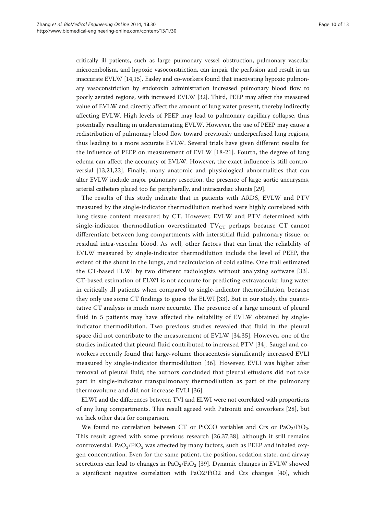critically ill patients, such as large pulmonary vessel obstruction, pulmonary vascular microembolism, and hypoxic vasoconstriction, can impair the perfusion and result in an inaccurate EVLW [[14,15\]](#page-11-0). Easley and co-workers found that inactivating hypoxic pulmonary vasoconstriction by endotoxin administration increased pulmonary blood flow to poorly aerated regions, with increased EVLW [[32](#page-12-0)]. Third, PEEP may affect the measured value of EVLW and directly affect the amount of lung water present, thereby indirectly affecting EVLW. High levels of PEEP may lead to pulmonary capillary collapse, thus potentially resulting in underestimating EVLW. However, the use of PEEP may cause a redistribution of pulmonary blood flow toward previously underperfused lung regions, thus leading to a more accurate EVLW. Several trials have given different results for the influence of PEEP on measurement of EVLW [[18-21](#page-11-0)]. Fourth, the degree of lung edema can affect the accuracy of EVLW. However, the exact influence is still controversial [[13,21](#page-11-0),[22\]](#page-11-0). Finally, many anatomic and physiological abnormalities that can alter EVLW include major pulmonary resection, the presence of large aortic aneurysms, arterial catheters placed too far peripherally, and intracardiac shunts [\[29\]](#page-12-0).

The results of this study indicate that in patients with ARDS, EVLW and PTV measured by the single-indicator thermodilution method were highly correlated with lung tissue content measured by CT. However, EVLW and PTV determined with single-indicator thermodilution overestimated  $TV_{CT}$  perhaps because CT cannot differentiate between lung compartments with interstitial fluid, pulmonary tissue, or residual intra-vascular blood. As well, other factors that can limit the reliability of EVLW measured by single-indicator thermodilution include the level of PEEP, the extent of the shunt in the lungs, and recirculation of cold saline. One trail estimated the CT-based ELWI by two different radiologists without analyzing software [[33](#page-12-0)]. CT-based estimation of ELWI is not accurate for predicting extravascular lung water in critically ill patients when compared to single-indicator thermodilution, because they only use some CT findings to guess the ELWI [[33](#page-12-0)]. But in our study, the quantitative CT analysis is much more accurate. The presence of a large amount of pleural fluid in 5 patients may have affected the reliability of EVLW obtained by singleindicator thermodilution. Two previous studies revealed that fluid in the pleural space did not contribute to the measurement of EVLW [\[34](#page-12-0),[35](#page-12-0)]. However, one of the studies indicated that pleural fluid contributed to increased PTV [\[34](#page-12-0)]. Saugel and coworkers recently found that large-volume thoracentesis significantly increased EVLI measured by single-indicator thermodilution [[36\]](#page-12-0). However, EVLI was higher after removal of pleural fluid; the authors concluded that pleural effusions did not take part in single-indicator transpulmonary thermodilution as part of the pulmonary thermovolume and did not increase EVLI [[36](#page-12-0)].

ELWI and the differences between TVI and ELWI were not correlated with proportions of any lung compartments. This result agreed with Patroniti and coworkers [[28\]](#page-12-0), but we lack other data for comparison.

We found no correlation between CT or PiCCO variables and Crs or  $PaO<sub>2</sub>/FiO<sub>2</sub>$ . This result agreed with some previous research [[26](#page-11-0)[,37](#page-12-0),[38\]](#page-12-0), although it still remains controversial. PaO<sub>2</sub>/FiO<sub>2</sub> was affected by many factors, such as PEEP and inhaled oxygen concentration. Even for the same patient, the position, sedation state, and airway secretions can lead to changes in  $PaO<sub>2</sub>/FiO<sub>2</sub>$  [\[39\]](#page-12-0). Dynamic changes in EVLW showed a significant negative correlation with PaO2/FiO2 and Crs changes [\[40](#page-12-0)], which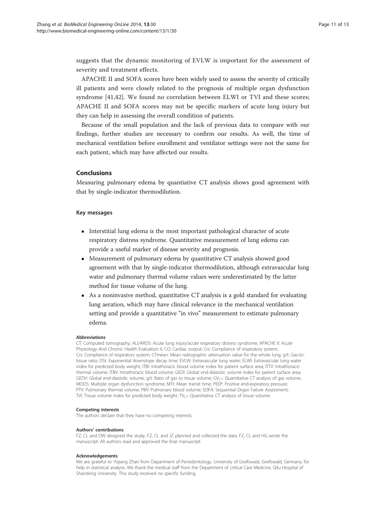suggests that the dynamic monitoring of EVLW is important for the assessment of severity and treatment effects.

APACHE II and SOFA scores have been widely used to assess the severity of critically ill patients and were closely related to the prognosis of multiple organ dysfunction syndrome [\[41](#page-12-0),[42\]](#page-12-0). We found no correlation between ELWI or TVI and these scores; APACHE II and SOFA scores may not be specific markers of acute lung injury but they can help in assessing the overall condition of patients.

Because of the small population and the lack of previous data to compare with our findings, further studies are necessary to confirm our results. As well, the time of mechanical ventilation before enrollment and ventilator settings were not the same for each patient, which may have affected our results.

## Conclusions

Measuring pulmonary edema by quantiative CT analysis shows good agreement with that by single-indicator thermodilution.

#### Key messages

- Interstitial lung edema is the most important pathological character of acute respiratory distress syndrome. Quantitative measurement of lung edema can provide a useful marker of disease severity and prognosis.
- Measurement of pulmonary edema by quantitative CT analysis showed good agreement with that by single-indicator thermodilution, although extravascular lung water and pulmonary thermal volume values were underestimated by the latter method for tissue volume of the lung.
- As a noninvasive method, quantitative CT analysis is a gold standard for evaluating lung aeration, which may have clinical relevance in the mechanical ventilation setting and provide a quantitative "in vivo" measurement to estimate pulmonary edema.

#### Abbreviations

CT: Computed tomography; ALI/ARDS: Acute lung injury/acute respiratory distress syndrome; APACHE II: Acute Physiology And Chronic Health Evaluation II; CO: Cardiac output; Crs: Compliance of respiratory system; Crs: Compliance of respiratory system; CTmean: Mean radiographic attenuation value for the whole lung; g/t: Gas-totissue ratio; DSt: Exponential downslope decay time; EVLW: Extravascular lung water; ELWI: Extravascular lung water index for predicted body weight; ITBI: Intrathoracic blood volume index for patient surface area; ITTV: Intrathoracic thermal volume; ITBV: Intrathoracic blood volume; GEDI: Global end-diastolic volume index for patient surface area; GEDV: Global end-diastolic volume;  $q/t$ : Ratio of gas to tissue volume; GV<sub>CT</sub>: Quantitative CT analysis of gas volume; MODS: Multiple organ dysfunction syndrome; MTt: Mean transit time; PEEP: Positive end-expiratory pressure; PTV: Pulmonary thermal volume; PBV: Pulmonary blood volume; SOFA: Sequential Organ Failure Assessment; TVI: Tissue volume index for predicted body weight;  $TV_{CT}$ : Quantitative CT analysis of tissue volume.

#### Competing interests

The authors declare that they have no competing interests.

#### Authors' contributions

FZ, CL and DW designed the study. FZ, CL and JZ planned and collected the data. FZ, CL and HG wrote the manuscript. All authors read and approved the final manuscript.

#### Acknowledgements

We are grateful to Yiqiang Zhan from Dapartment of Periodontology, University of Greifswaid, Greifswald, Germany, for help in statistical analysis. We thank the medical staff from the Department of critical Care Medcine, Qilu Hospital of Shandong University. This study received no specific funding.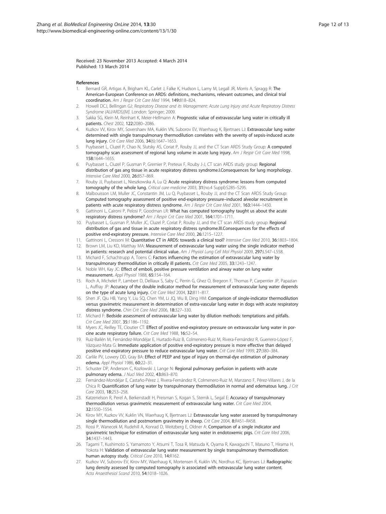#### <span id="page-11-0"></span>References

- Bernard GR, Artigas A, Brigham KL, Carlet J, Falke K, Hudson L, Lamy M, Legall JR, Morris A, Spragg R: The American-European Conference on ARDS: definitions, mechanisms, relevant outcomes, and clinical trial coordination. Am J Respir Crit Care Med 1994, 149:818-824.
- Howell DCJ, Bellingan GJ: Respiratory Disease and its Management: Acute Lung Injury and Acute Respiratory Distress Syndrome (ALI/ARDS)[M]. London: Springer; 2009.
- 3. Sakka SG, Klein M, Reinhart K, Meier-Hellmann A: Prognostic value of extravascular lung water in critically ill patients. Chest 2002, 122:2080–2086.
- 4. Kuzkov W, Kirov MY, Sovershaev MA, Kuklin VN, Suborov EV, Waerhaug K, Bjertnaes LJ: Extravascular lung water determined with single transpulmonary thermodilution correlates with the severity of sepsis-induced acute lung injury. Crit Care Med 2006, 34(6):1647–1653.
- Puybasset L, Cluzel P, Chao N, Slutsky AS, Coriat P, Rouby JJ, and the CT Scan ARDS Study Group: A computed tomography scan assessment of regional lung volume in acute lung injury. Am J Respir Crit Care Med 1998, 158:1644–1655.
- 6. Puybasset L, Cluzel P, Gusman P, Gremier P, Preteux F, Rouby J-J, CT scan ARDS study group: Regional distribution of gas ang tissue in acute respiratory distress syndrome.I.Consequences for lung morphology. Intensive Care Med 2000, 26:857–869.
- 7. Rouby JJ, Puybasset L, Nieszkowska A, Lu Q: Acute respiratory distress syndrome: lessons from computed tomography of the whole lung. Critical care medicine 2003, 31(no.4 Suppl):S285–S295.
- Malbouisson LM, Muller JC, Constantin JM, Lu Q, Puybasset L, Rouby JJ, and the CT Scan ARDS Study Group: Computed tomography assessment of positive end-expiratory pressure–induced alveolar recruitment in patients with acute respiratory distress syndrome. Am J Respir Crit Care Med 2001, 163:1444-1450.
- 9. Gattinoni L, Caironi P, Pelosi P, Goodman LR: What has computed tomography taught us about the acute respiratory distress syndrome? Am J Respir Crit Care Med 2001, 164:1701–1711.
- Puybasset L, Gusman P, Muller JC, Cluzel P, Coriat P, Rouby JJ, and the CT scan ARDS study group: Regional distribution of gas and tissue in acute respiratory distress syndrome.III.Consequences for the effects of positive end-expiratory pressure. Intensive Care Med 2000, 26:1215–1227.
- 11. Gattinoni L, Cressoni M: Quantitative CT in ARDS: towards a clinical tool? Intensive Care Med 2010, 36:1803-1804.
- 12. Brown LM, Liu KD, Matthay MA: Measurement of extravascular lung water using the single indicator method in patients: research and potential clinical value. Am J Physiol Lung Cell Mol Physiol 2009, 297:L547-L558.
- 13. Michard F, Schachtrupp A, Toens C: Factors influencing the estimation of extravascular lung water by transpulmonary thermodilution in critically ill patients. Crit Care Med 2005, 33:1243-1247.
- 14. Noble WH, Kay JC: Effect of emboli, positive pressure ventilation and airway water on lung water measurement. Appl Physiol 1988, 65:154–164.
- 15. Roch A, Michelet P, Lambert D, Delliaux S, Saby C, Perrin G, Ghez O, Bregeon F, Thomas P, Carpentier JP, Papazian L, Auffray JP: Accuracy of the double indicator method for measurement of extravascular lung water depends on the type of acute lung injury. Crit Care Med 2004, 32:811–817.
- 16. Shen JF, Qiu HB, Yang Y, Liu SQ, Chen YM, Li JQ, Wu B, Ding HM: Comparison of single-indicator thermodilution versus gravimetric measurement in determination of extra-vascular lung water in dogs with acute respiratory distress syndrome. Chin Crit Care Med 2006, 18:327–330.
- 17. Michard F: Bedside assessment of extravascular lung water by dilution methods: temptations and pitfalls. Crit Care Med 2007, 35:1186-1192.
- 18. Myers JC, Reilley TE, Cloutier CT: Effect of positive end-expiratory pressure on extravascular lung water in porcine acute respiratory failure. Crit Care Med 1988, 16:52–54.
- 19. Ruiz-Bailén M, Fernández-Mondéjar E, Hurtado-Ruiz B, Colmenero-Ruiz M, Rivera-Fernández R, Guerrero-López F, Vázquez-Mata G: Immediate application of positive end-expiratory pressure is more effective than delayed positive end-expiratory pressure to reduce extravascular lung water. Crit Care Med 1999, 27:380-384.
- 20. Carlile PV, Lowery DD, Gray BA: Effect of PEEP and type of injury on thermal-dye estimation of pulmonary edema. Appl Physiol 1986, 60:22–31.
- 21. Schuster DP, Anderson C, Kozlowski J, Lange N: Regional pulmonary perfusion in patients with acute pulmonary edema. J Nucl Med 2002, 43:863-870.
- 22. Fernández-Mondéjar E, Castaño-Pérez J, Rivera-Fernández R, Colmenero-Ruiz M, Manzano F, Pérez-Villares J, de la Chica R: Quantification of lung water by transpulmonary thermodilution in normal and edematous lung. J Crit Care 2003, 18:253–258.
- 23. Katzenelson R, Perel A, Berkenstadt H, Preisman S, Kogan S, Sternik L, Segal E: Accuracy of transpulmonary thermodilution versus gravimetric measurement of extravascular lung water. Crit Care Med 2004, 32:1550–1554.
- 24. Kirov MY, Kuzkov W, Kuklin VN, Waerhaug K, Bjertnaes LJ: Extravascular lung water assessed by transpulmonary single thermodilution and postmortem gravimetry in sheep. Crit Care 2004, 8:R451-R458
- 25. Rossi P, Wanecek M, Rudehill A, Konrad D, Weitzberg E, Oldner A: Comparison of a single indicator and gravimetric technique for estimation of extravascular lung water in endotoxemic pigs. Crit Care Med 2006, 34:1437–1443.
- 26. Tagami T, Kushimoto S, Yamamoto Y, Atsumi T, Tosa R, Matsuda K, Oyama R, Kawaguchi T, Masuno T, Hirama H, Yokota H: Validation of extravascular lung water measurement by single transpulmonary thermodilution: human autopsy study. Critical Care 2010, 14:R162.
- 27. Kuzkov W, Suborov EV, Kirov MY, Waerhaug K, Mortensen R, Kuklin VN, Nordhus KC, Bjertnaes LJ: Radiographic lung density assessed by computed tomography is associated with extravascular lung water content. Acta Anaesthesiol Scand 2010, 54:1018–1026.